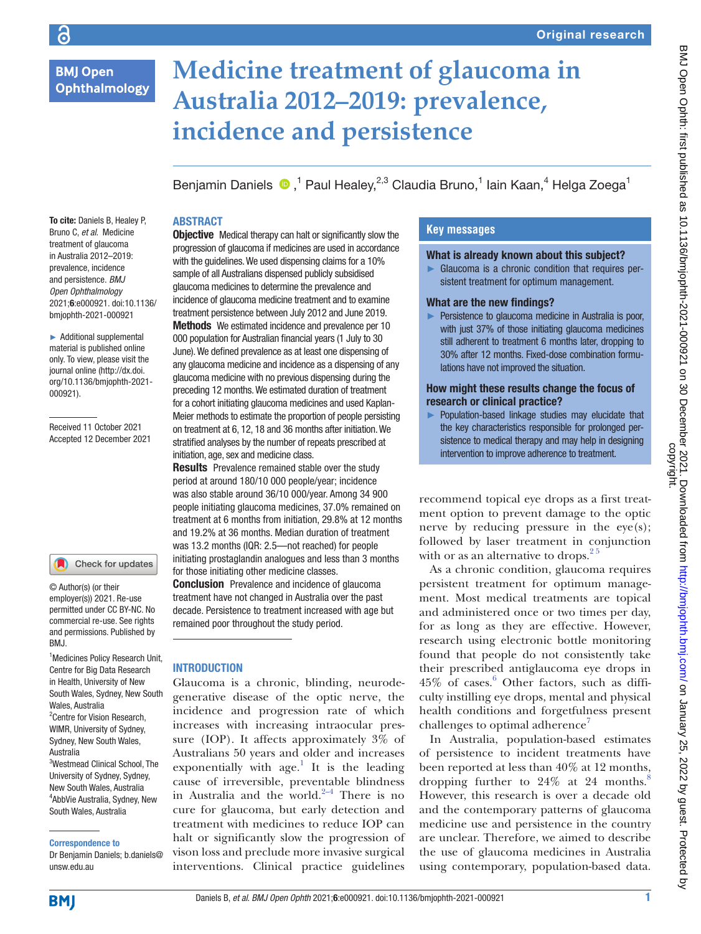# **BMJ Open Ophthalmology**

# **Medicine treatment of glaucoma in Australia 2012–2019: prevalence, incidence and persistence**

Benjamin Daniels <sup>®</sup>,<sup>1</sup> Paul Healey,<sup>2,3</sup> Claudia Bruno,<sup>1</sup> Iain Kaan,<sup>4</sup> Helga Zoega<sup>1</sup>

#### **ABSTRACT**

To cite: Daniels B, Healey P, Bruno C, *et al*. Medicine treatment of glaucoma in Australia 2012–2019: prevalence, incidence and persistence. *BMJ Open Ophthalmology* 2021;6:e000921. doi:10.1136/ bmjophth-2021-000921

► Additional supplemental material is published online only. To view, please visit the journal online ([http://dx.doi.](http://dx.doi.org/10.1136/bmjophth-2021-000921) [org/10.1136/bmjophth-2021-](http://dx.doi.org/10.1136/bmjophth-2021-000921) [000921](http://dx.doi.org/10.1136/bmjophth-2021-000921)).

Received 11 October 2021 Accepted 12 December 2021

#### Check for updates

© Author(s) (or their employer(s)) 2021. Re-use permitted under CC BY-NC. No commercial re-use. See rights and permissions. Published by BMJ.

1 Medicines Policy Research Unit, Centre for Big Data Research in Health, University of New South Wales, Sydney, New South Wales, Australia <sup>2</sup> Centre for Vision Research, WIMR, University of Sydney, Sydney, New South Wales, Australia 3 Westmead Clinical School, The University of Sydney, Sydney,

New South Wales, Australia 4 AbbVie Australia, Sydney, New South Wales, Australia

Correspondence to

Dr Benjamin Daniels; b.daniels@ unsw.edu.au

**Objective** Medical therapy can halt or significantly slow the progression of glaucoma if medicines are used in accordance with the guidelines. We used dispensing claims for a 10% sample of all Australians dispensed publicly subsidised glaucoma medicines to determine the prevalence and incidence of glaucoma medicine treatment and to examine treatment persistence between July 2012 and June 2019.

Methods We estimated incidence and prevalence per 10 000 population for Australian financial years (1 July to 30 June). We defined prevalence as at least one dispensing of any glaucoma medicine and incidence as a dispensing of any glaucoma medicine with no previous dispensing during the preceding 12 months. We estimated duration of treatment for a cohort initiating glaucoma medicines and used Kaplan-Meier methods to estimate the proportion of people persisting on treatment at 6, 12, 18 and 36 months after initiation. We stratified analyses by the number of repeats prescribed at initiation, age, sex and medicine class.

Results Prevalence remained stable over the study period at around 180/10 000 people/year; incidence was also stable around 36/10 000/year. Among 34 900 people initiating glaucoma medicines, 37.0% remained on treatment at 6 months from initiation, 29.8% at 12 months and 19.2% at 36 months. Median duration of treatment was 13.2 months (IQR: 2.5—not reached) for people initiating prostaglandin analogues and less than 3 months for those initiating other medicine classes.

**Conclusion** Prevalence and incidence of glaucoma treatment have not changed in Australia over the past decade. Persistence to treatment increased with age but remained poor throughout the study period.

#### **INTRODUCTION**

Glaucoma is a chronic, blinding, neurodegenerative disease of the optic nerve, the incidence and progression rate of which increases with increasing intraocular pressure (IOP). It affects approximately 3% of Australians 50 years and older and increases exponentially with  $age<sup>1</sup>$  It is the leading cause of irreversible, preventable blindness in Australia and the world. $2-4$  There is no cure for glaucoma, but early detection and treatment with medicines to reduce IOP can halt or significantly slow the progression of vison loss and preclude more invasive surgical interventions. Clinical practice guidelines

# **Key messages**

#### What is already known about this subject?

► Glaucoma is a chronic condition that requires persistent treatment for optimum management.

#### What are the new findings?

► Persistence to glaucoma medicine in Australia is poor, with just 37% of those initiating glaucoma medicines still adherent to treatment 6 months later, dropping to 30% after 12 months. Fixed-dose combination formulations have not improved the situation.

#### How might these results change the focus of research or clinical practice?

► Population-based linkage studies may elucidate that the key characteristics responsible for prolonged persistence to medical therapy and may help in designing intervention to improve adherence to treatment.

recommend topical eye drops as a first treatment option to prevent damage to the optic nerve by reducing pressure in the  $eye(s)$ ; followed by laser treatment in conjunction with or as an alternative to drops. $25$ 

As a chronic condition, glaucoma requires persistent treatment for optimum management. Most medical treatments are topical and administered once or two times per day, for as long as they are effective. However, research using electronic bottle monitoring found that people do not consistently take their prescribed antiglaucoma eye drops in 45% of cases.[6](#page-6-0) Other factors, such as difficulty instilling eye drops, mental and physical health conditions and forgetfulness present challenges to optimal adherence<sup>[7](#page-6-1)</sup>

In Australia, population-based estimates of persistence to incident treatments have been reported at less than 40% at 12 months, dropping further to  $24\%$  at 24 months.<sup>[8](#page-6-2)</sup> However, this research is over a decade old and the contemporary patterns of glaucoma medicine use and persistence in the country are unclear. Therefore, we aimed to describe the use of glaucoma medicines in Australia using contemporary, population-based data.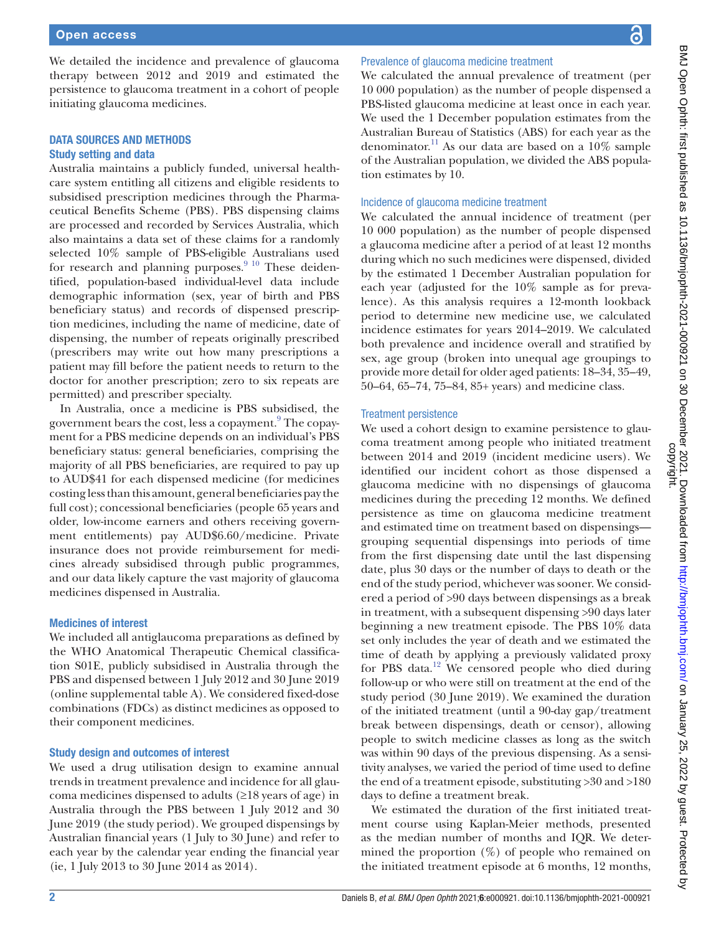a

We detailed the incidence and prevalence of glaucoma therapy between 2012 and 2019 and estimated the persistence to glaucoma treatment in a cohort of people initiating glaucoma medicines.

#### DATA SOURCES AND METHODS Study setting and data

Australia maintains a publicly funded, universal healthcare system entitling all citizens and eligible residents to subsidised prescription medicines through the Pharmaceutical Benefits Scheme (PBS). PBS dispensing claims are processed and recorded by Services Australia, which also maintains a data set of these claims for a randomly selected 10% sample of PBS-eligible Australians used for research and planning purposes. $9^{10}$  These deidentified, population-based individual-level data include demographic information (sex, year of birth and PBS beneficiary status) and records of dispensed prescription medicines, including the name of medicine, date of dispensing, the number of repeats originally prescribed (prescribers may write out how many prescriptions a patient may fill before the patient needs to return to the doctor for another prescription; zero to six repeats are permitted) and prescriber specialty.

In Australia, once a medicine is PBS subsidised, the government bears the cost, less a copayment. $^9$  The copayment for a PBS medicine depends on an individual's PBS beneficiary status: general beneficiaries, comprising the majority of all PBS beneficiaries, are required to pay up to AUD\$41 for each dispensed medicine (for medicines costing less than this amount, general beneficiaries pay the full cost); concessional beneficiaries (people 65 years and older, low-income earners and others receiving government entitlements) pay AUD\$6.60/medicine. Private insurance does not provide reimbursement for medicines already subsidised through public programmes, and our data likely capture the vast majority of glaucoma medicines dispensed in Australia.

#### Medicines of interest

We included all antiglaucoma preparations as defined by the WHO Anatomical Therapeutic Chemical classification S01E, publicly subsidised in Australia through the PBS and dispensed between 1 July 2012 and 30 June 2019 [\(online supplemental table A\)](https://dx.doi.org/10.1136/bmjophth-2021-000921). We considered fixed-dose combinations (FDCs) as distinct medicines as opposed to their component medicines.

#### Study design and outcomes of interest

We used a drug utilisation design to examine annual trends in treatment prevalence and incidence for all glaucoma medicines dispensed to adults  $(\geq 18$  years of age) in Australia through the PBS between 1 July 2012 and 30 June 2019 (the study period). We grouped dispensings by Australian financial years (1 July to 30 June) and refer to each year by the calendar year ending the financial year (ie, 1 July 2013 to 30 June 2014 as 2014).

# Prevalence of glaucoma medicine treatment

We calculated the annual prevalence of treatment (per 10 000 population) as the number of people dispensed a PBS-listed glaucoma medicine at least once in each year. We used the 1 December population estimates from the Australian Bureau of Statistics (ABS) for each year as the denominator.<sup>11</sup> As our data are based on a 10% sample of the Australian population, we divided the ABS population estimates by 10.

#### Incidence of glaucoma medicine treatment

We calculated the annual incidence of treatment (per 10 000 population) as the number of people dispensed a glaucoma medicine after a period of at least 12 months during which no such medicines were dispensed, divided by the estimated 1 December Australian population for each year (adjusted for the 10% sample as for prevalence). As this analysis requires a 12-month lookback period to determine new medicine use, we calculated incidence estimates for years 2014–2019. We calculated both prevalence and incidence overall and stratified by sex, age group (broken into unequal age groupings to provide more detail for older aged patients: 18–34, 35–49, 50–64, 65–74, 75–84, 85+ years) and medicine class.

#### Treatment persistence

We used a cohort design to examine persistence to glaucoma treatment among people who initiated treatment between 2014 and 2019 (incident medicine users). We identified our incident cohort as those dispensed a glaucoma medicine with no dispensings of glaucoma medicines during the preceding 12 months. We defined persistence as time on glaucoma medicine treatment and estimated time on treatment based on dispensings grouping sequential dispensings into periods of time from the first dispensing date until the last dispensing date, plus 30 days or the number of days to death or the end of the study period, whichever was sooner. We considered a period of >90 days between dispensings as a break in treatment, with a subsequent dispensing >90 days later beginning a new treatment episode. The PBS 10% data set only includes the year of death and we estimated the time of death by applying a previously validated proxy for PBS data.<sup>12</sup> We censored people who died during follow-up or who were still on treatment at the end of the study period (30 June 2019). We examined the duration of the initiated treatment (until a 90-day gap/treatment break between dispensings, death or censor), allowing people to switch medicine classes as long as the switch was within 90 days of the previous dispensing. As a sensitivity analyses, we varied the period of time used to define the end of a treatment episode, substituting >30 and >180 days to define a treatment break.

We estimated the duration of the first initiated treatment course using Kaplan-Meier methods, presented as the median number of months and IQR. We determined the proportion  $(\%)$  of people who remained on the initiated treatment episode at 6 months, 12 months,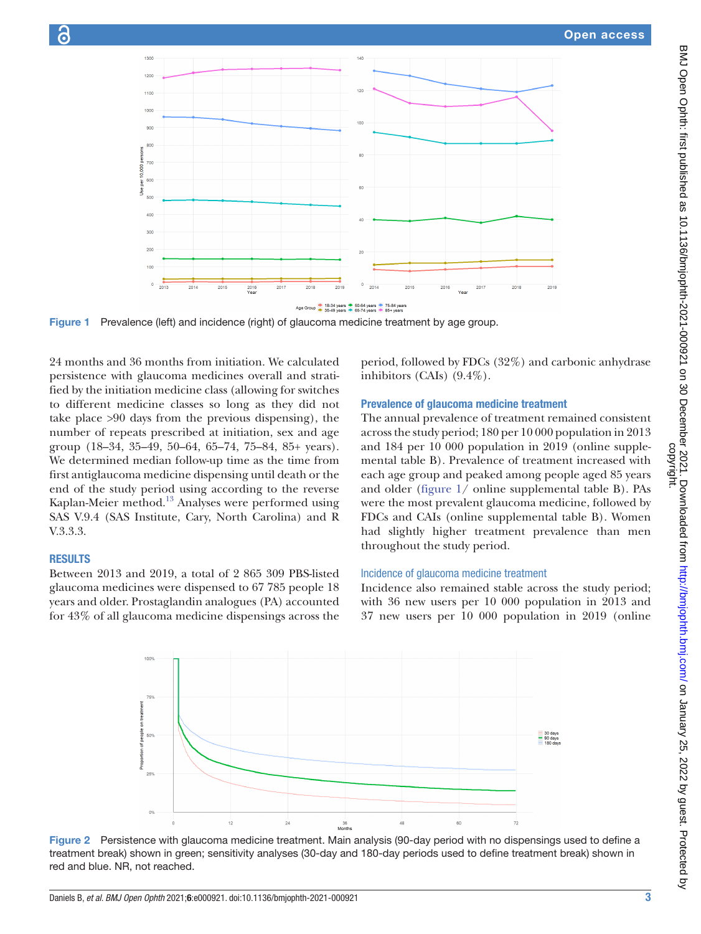

Figure 1 Prevalence (left) and incidence (right) of glaucoma medicine treatment by age group.

24 months and 36 months from initiation. We calculated persistence with glaucoma medicines overall and stratified by the initiation medicine class (allowing for switches to different medicine classes so long as they did not take place >90 days from the previous dispensing), the number of repeats prescribed at initiation, sex and age group (18–34, 35–49, 50–64, 65–74, 75–84, 85+ years). We determined median follow-up time as the time from first antiglaucoma medicine dispensing until death or the end of the study period using according to the reverse Kaplan-Meier method.<sup>13</sup> Analyses were performed using SAS V.9.4 (SAS Institute, Cary, North Carolina) and R V.3.3.3.

#### **RESULTS**

Between 2013 and 2019, a total of 2 865 309 PBS-listed glaucoma medicines were dispensed to 67 785 people 18 years and older. Prostaglandin analogues (PA) accounted for 43% of all glaucoma medicine dispensings across the

<span id="page-2-0"></span>period, followed by FDCs (32%) and carbonic anhydrase inhibitors (CAIs) (9.4%).

## Prevalence of glaucoma medicine treatment

The annual prevalence of treatment remained consistent across the study period; 180 per 10 000 population in 2013 and 184 per 10 000 population in 2019 [\(online supple](https://dx.doi.org/10.1136/bmjophth-2021-000921)[mental table B](https://dx.doi.org/10.1136/bmjophth-2021-000921)). Prevalence of treatment increased with each age group and peaked among people aged 85 years and older ([figure](#page-2-0) 1/ [online supplemental table B](https://dx.doi.org/10.1136/bmjophth-2021-000921)). PAs were the most prevalent glaucoma medicine, followed by FDCs and CAIs ([online supplemental table B](https://dx.doi.org/10.1136/bmjophth-2021-000921)). Women had slightly higher treatment prevalence than men throughout the study period.

## Incidence of glaucoma medicine treatment

Incidence also remained stable across the study period; with 36 new users per 10 000 population in 2013 and 37 new users per 10 000 population in 2019 [\(online](https://dx.doi.org/10.1136/bmjophth-2021-000921)



<span id="page-2-1"></span>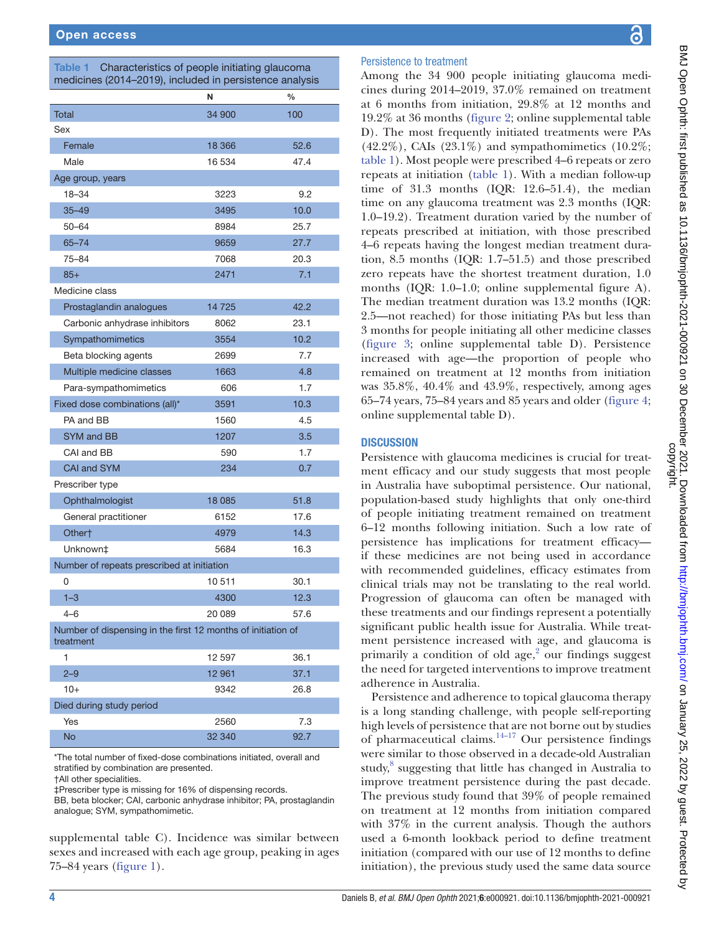<span id="page-3-0"></span>

| Characteristics of people initiating glaucoma<br>Table 1<br>medicines (2014-2019), included in persistence analysis |         |               |
|---------------------------------------------------------------------------------------------------------------------|---------|---------------|
|                                                                                                                     | N       | $\frac{0}{0}$ |
| <b>Total</b>                                                                                                        | 34 900  | 100           |
| Sex                                                                                                                 |         |               |
| Female                                                                                                              | 18 3 66 | 52.6          |
| Male                                                                                                                | 16 534  | 47.4          |
| Age group, years                                                                                                    |         |               |
| 18-34                                                                                                               | 3223    | 9.2           |
| $35 - 49$                                                                                                           | 3495    | 10.0          |
| 50-64                                                                                                               | 8984    | 25.7          |
| $65 - 74$                                                                                                           | 9659    | 27.7          |
| 75-84                                                                                                               | 7068    | 20.3          |
| $85+$                                                                                                               | 2471    | 7.1           |
| Medicine class                                                                                                      |         |               |
| Prostaglandin analogues                                                                                             | 14725   | 42.2          |
| Carbonic anhydrase inhibitors                                                                                       | 8062    | 23.1          |
| Sympathomimetics                                                                                                    | 3554    | 10.2          |
| Beta blocking agents                                                                                                | 2699    | 7.7           |
| Multiple medicine classes                                                                                           | 1663    | 4.8           |
| Para-sympathomimetics                                                                                               | 606     | 1.7           |
| Fixed dose combinations (all)*                                                                                      | 3591    | 10.3          |
| PA and BB                                                                                                           | 1560    | 4.5           |
| <b>SYM and BB</b>                                                                                                   | 1207    | 3.5           |
| CAI and BB                                                                                                          | 590     | 1.7           |
| <b>CAI and SYM</b>                                                                                                  | 234     | 0.7           |
| Prescriber type                                                                                                     |         |               |
| Ophthalmologist                                                                                                     | 18 0 85 | 51.8          |
| General practitioner                                                                                                | 6152    | 17.6          |
| Other†                                                                                                              | 4979    | 14.3          |
| Unknown‡                                                                                                            | 5684    | 16.3          |
| Number of repeats prescribed at initiation                                                                          |         |               |
| 0                                                                                                                   | 10 511  | 30.1          |
| $1 - 3$                                                                                                             | 4300    | 12.3          |
| $4 - 6$                                                                                                             | 20 089  | 57.6          |
| Number of dispensing in the first 12 months of initiation of<br>treatment                                           |         |               |
| 1                                                                                                                   | 12 597  | 36.1          |
| $2 - 9$                                                                                                             | 12 961  | 37.1          |
| $10+$                                                                                                               | 9342    | 26.8          |
| Died during study period                                                                                            |         |               |
| Yes                                                                                                                 | 2560    | 7.3           |
| No                                                                                                                  | 32 340  | 92.7          |

\*The total number of fixed-dose combinations initiated, overall and stratified by combination are presented.

†All other specialities.

‡Prescriber type is missing for 16% of dispensing records.

BB, beta blocker; CAI, carbonic anhydrase inhibitor; PA, prostaglandin analogue; SYM, sympathomimetic.

[supplemental table C\)](https://dx.doi.org/10.1136/bmjophth-2021-000921). Incidence was similar between sexes and increased with each age group, peaking in ages 75–84 years [\(figure](#page-2-0) 1).

#### Persistence to treatment

Among the 34 900 people initiating glaucoma medicines during 2014–2019, 37.0% remained on treatment at 6 months from initiation, 29.8% at 12 months and 19.2% at 36 months [\(figure](#page-2-1) 2; [online supplemental table](https://dx.doi.org/10.1136/bmjophth-2021-000921) [D](https://dx.doi.org/10.1136/bmjophth-2021-000921)). The most frequently initiated treatments were PAs  $(42.2\%)$ , CAIs  $(23.1\%)$  and sympathomimetics  $(10.2\%;$ [table](#page-3-0) 1). Most people were prescribed 4–6 repeats or zero repeats at initiation ([table](#page-3-0) 1). With a median follow-up time of 31.3 months  $(IQR: 12.6-51.4)$ , the median time on any glaucoma treatment was 2.3 months (IQR: 1.0–19.2). Treatment duration varied by the number of repeats prescribed at initiation, with those prescribed 4–6 repeats having the longest median treatment duration, 8.5 months (IQR: 1.7–51.5) and those prescribed zero repeats have the shortest treatment duration, 1.0 months (IQR: 1.0–1.0; [online supplemental figure A](https://dx.doi.org/10.1136/bmjophth-2021-000921)). The median treatment duration was 13.2 months (IQR: 2.5—not reached) for those initiating PAs but less than 3 months for people initiating all other medicine classes [\(figure](#page-4-0) 3; [online supplemental table D\)](https://dx.doi.org/10.1136/bmjophth-2021-000921). Persistence increased with age—the proportion of people who remained on treatment at 12 months from initiation was 35.8%, 40.4% and 43.9%, respectively, among ages 65–74 years, 75–84 years and 85 years and older [\(figure](#page-4-1) 4; [online supplemental table D\)](https://dx.doi.org/10.1136/bmjophth-2021-000921).

#### **DISCUSSION**

Persistence with glaucoma medicines is crucial for treatment efficacy and our study suggests that most people in Australia have suboptimal persistence. Our national, population-based study highlights that only one-third of people initiating treatment remained on treatment 6–12 months following initiation. Such a low rate of persistence has implications for treatment efficacy if these medicines are not being used in accordance with recommended guidelines, efficacy estimates from clinical trials may not be translating to the real world. Progression of glaucoma can often be managed with these treatments and our findings represent a potentially significant public health issue for Australia. While treatment persistence increased with age, and glaucoma is primarily a condition of old  $age<sub>i</sub><sup>2</sup>$  our findings suggest the need for targeted interventions to improve treatment adherence in Australia.

Persistence and adherence to topical glaucoma therapy is a long standing challenge, with people self-reporting high levels of persistence that are not borne out by studies of pharmaceutical claims. $14-17$  Our persistence findings were similar to those observed in a decade-old Australian study, [8](#page-6-2) suggesting that little has changed in Australia to improve treatment persistence during the past decade. The previous study found that 39% of people remained on treatment at 12 months from initiation compared with 37% in the current analysis. Though the authors used a 6-month lookback period to define treatment initiation (compared with our use of 12 months to define initiation), the previous study used the same data source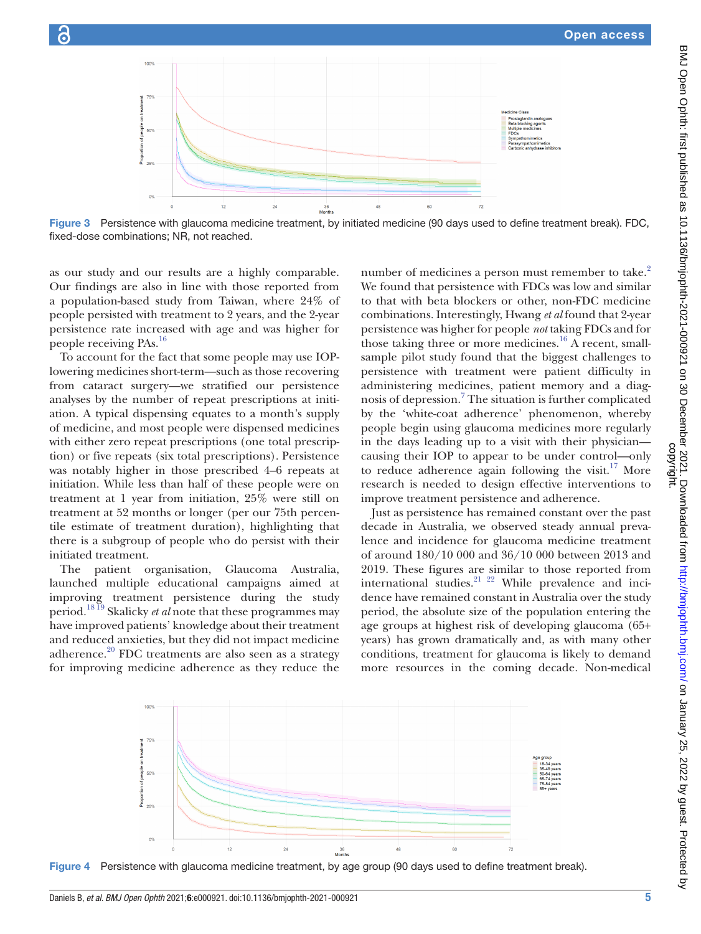



Figure 3 Persistence with glaucoma medicine treatment, by initiated medicine (90 days used to define treatment break). FDC, fixed-dose combinations; NR, not reached.

as our study and our results are a highly comparable. Our findings are also in line with those reported from a population-based study from Taiwan, where 24% of people persisted with treatment to 2 years, and the 2-year persistence rate increased with age and was higher for people receiving PAs.[16](#page-6-8)

To account for the fact that some people may use IOPlowering medicines short-term—such as those recovering from cataract surgery—we stratified our persistence analyses by the number of repeat prescriptions at initiation. A typical dispensing equates to a month's supply of medicine, and most people were dispensed medicines with either zero repeat prescriptions (one total prescription) or five repeats (six total prescriptions). Persistence was notably higher in those prescribed 4–6 repeats at initiation. While less than half of these people were on treatment at 1 year from initiation, 25% were still on treatment at 52 months or longer (per our 75th percentile estimate of treatment duration), highlighting that there is a subgroup of people who do persist with their initiated treatment.

The patient organisation, Glaucoma Australia, launched multiple educational campaigns aimed at improving treatment persistence during the study period.[18 19](#page-6-9) Skalicky *et al* note that these programmes may have improved patients' knowledge about their treatment and reduced anxieties, but they did not impact medicine adherence. $20$  FDC treatments are also seen as a strategy for improving medicine adherence as they reduce the

<span id="page-4-0"></span>number of medicines a person must remember to take.<sup>[2](#page-5-0)</sup> We found that persistence with FDCs was low and similar to that with beta blockers or other, non-FDC medicine combinations. Interestingly, Hwang *et al* found that 2-year persistence was higher for people *not* taking FDCs and for those taking three or more medicines.<sup>[16](#page-6-8)</sup> A recent, smallsample pilot study found that the biggest challenges to persistence with treatment were patient difficulty in administering medicines, patient memory and a diag-nosis of depression.<sup>[7](#page-6-1)</sup> The situation is further complicated by the 'white-coat adherence' phenomenon, whereby people begin using glaucoma medicines more regularly in the days leading up to a visit with their physician causing their IOP to appear to be under control—only to reduce adherence again following the visit.<sup>17</sup> More research is needed to design effective interventions to improve treatment persistence and adherence.

Just as persistence has remained constant over the past decade in Australia, we observed steady annual prevalence and incidence for glaucoma medicine treatment of around 180/10 000 and 36/10 000 between 2013 and 2019. These figures are similar to those reported from international studies.<sup>21</sup> <sup>22</sup> While prevalence and incidence have remained constant in Australia over the study period, the absolute size of the population entering the age groups at highest risk of developing glaucoma (65+ years) has grown dramatically and, as with many other conditions, treatment for glaucoma is likely to demand more resources in the coming decade. Non-medical

<span id="page-4-1"></span>

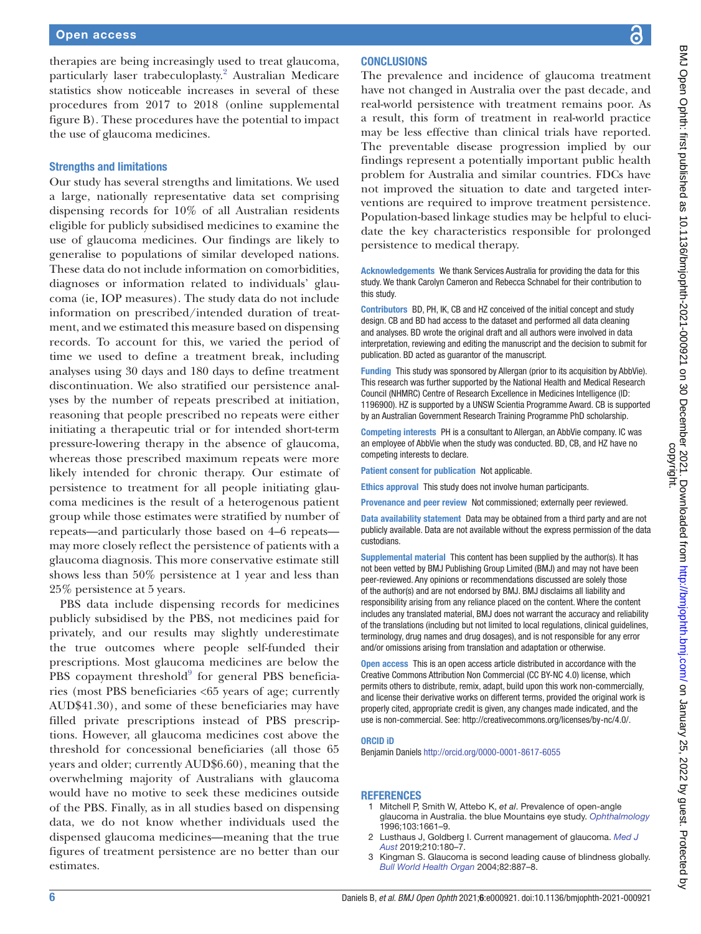therapies are being increasingly used to treat glaucoma, particularly laser trabeculoplasty.<sup>[2](#page-5-0)</sup> Australian Medicare statistics show noticeable increases in several of these procedures from 2017 to 2018 [\(online supplemental](https://dx.doi.org/10.1136/bmjophth-2021-000921) [figure B\)](https://dx.doi.org/10.1136/bmjophth-2021-000921). These procedures have the potential to impact the use of glaucoma medicines.

#### Strengths and limitations

Our study has several strengths and limitations. We used a large, nationally representative data set comprising dispensing records for 10% of all Australian residents eligible for publicly subsidised medicines to examine the use of glaucoma medicines. Our findings are likely to generalise to populations of similar developed nations. These data do not include information on comorbidities, diagnoses or information related to individuals' glaucoma (ie, IOP measures). The study data do not include information on prescribed/intended duration of treatment, and we estimated this measure based on dispensing records. To account for this, we varied the period of time we used to define a treatment break, including analyses using 30 days and 180 days to define treatment discontinuation. We also stratified our persistence analyses by the number of repeats prescribed at initiation, reasoning that people prescribed no repeats were either initiating a therapeutic trial or for intended short-term pressure-lowering therapy in the absence of glaucoma, whereas those prescribed maximum repeats were more likely intended for chronic therapy. Our estimate of persistence to treatment for all people initiating glaucoma medicines is the result of a heterogenous patient group while those estimates were stratified by number of repeats—and particularly those based on 4–6 repeats may more closely reflect the persistence of patients with a glaucoma diagnosis. This more conservative estimate still shows less than 50% persistence at 1 year and less than 25% persistence at 5 years.

PBS data include dispensing records for medicines publicly subsidised by the PBS, not medicines paid for privately, and our results may slightly underestimate the true outcomes where people self-funded their prescriptions. Most glaucoma medicines are below the  $PBS$  copayment threshold $9$  for general PBS beneficiaries (most PBS beneficiaries <65 years of age; currently AUD\$41.30), and some of these beneficiaries may have filled private prescriptions instead of PBS prescriptions. However, all glaucoma medicines cost above the threshold for concessional beneficiaries (all those 65 years and older; currently AUD\$6.60), meaning that the overwhelming majority of Australians with glaucoma would have no motive to seek these medicines outside of the PBS. Finally, as in all studies based on dispensing data, we do not know whether individuals used the dispensed glaucoma medicines—meaning that the true figures of treatment persistence are no better than our estimates.

#### **CONCLUSIONS**

The prevalence and incidence of glaucoma treatment have not changed in Australia over the past decade, and real-world persistence with treatment remains poor. As a result, this form of treatment in real-world practice may be less effective than clinical trials have reported. The preventable disease progression implied by our findings represent a potentially important public health problem for Australia and similar countries. FDCs have not improved the situation to date and targeted interventions are required to improve treatment persistence. Population-based linkage studies may be helpful to elucidate the key characteristics responsible for prolonged persistence to medical therapy.

Acknowledgements We thank Services Australia for providing the data for this study. We thank Carolyn Cameron and Rebecca Schnabel for their contribution to this study.

Contributors BD, PH, IK, CB and HZ conceived of the initial concept and study design. CB and BD had access to the dataset and performed all data cleaning and analyses. BD wrote the original draft and all authors were involved in data interpretation, reviewing and editing the manuscript and the decision to submit for publication. BD acted as guarantor of the manuscript.

Funding This study was sponsored by Allergan (prior to its acquisition by AbbVie). This research was further supported by the National Health and Medical Research Council (NHMRC) Centre of Research Excellence in Medicines Intelligence (ID: 1196900). HZ is supported by a UNSW Scientia Programme Award. CB is supported by an Australian Government Research Training Programme PhD scholarship.

Competing interests PH is a consultant to Allergan, an AbbVie company. IC was an employee of AbbVie when the study was conducted. BD, CB, and HZ have no competing interests to declare.

Patient consent for publication Not applicable.

Ethics approval This study does not involve human participants.

Provenance and peer review Not commissioned; externally peer reviewed.

Data availability statement Data may be obtained from a third party and are not publicly available. Data are not available without the express permission of the data custodians.

Supplemental material This content has been supplied by the author(s). It has not been vetted by BMJ Publishing Group Limited (BMJ) and may not have been peer-reviewed. Any opinions or recommendations discussed are solely those of the author(s) and are not endorsed by BMJ. BMJ disclaims all liability and responsibility arising from any reliance placed on the content. Where the content includes any translated material, BMJ does not warrant the accuracy and reliability of the translations (including but not limited to local regulations, clinical guidelines, terminology, drug names and drug dosages), and is not responsible for any error and/or omissions arising from translation and adaptation or otherwise.

Open access This is an open access article distributed in accordance with the Creative Commons Attribution Non Commercial (CC BY-NC 4.0) license, which permits others to distribute, remix, adapt, build upon this work non-commercially, and license their derivative works on different terms, provided the original work is properly cited, appropriate credit is given, any changes made indicated, and the use is non-commercial. See:<http://creativecommons.org/licenses/by-nc/4.0/>.

#### ORCID iD

Benjamin Daniels<http://orcid.org/0000-0001-8617-6055>

#### REFERENCES

- 1 Mitchell P, Smith W, Attebo K, *et al*. Prevalence of open-angle glaucoma in Australia. the blue Mountains eye study. *[Ophthalmology](http://dx.doi.org/10.1016/s0161-6420(96)30449-1)* 1996;103:1661–9.
- <span id="page-5-0"></span>2 Lusthaus J, Goldberg I. Current management of glaucoma. *[Med J](http://dx.doi.org/10.5694/mja2.50020)  [Aust](http://dx.doi.org/10.5694/mja2.50020)* 2019;210:180–7.
- 3 Kingman S. Glaucoma is second leading cause of blindness globally. *[Bull World Health Organ](http://dx.doi.org//S0042-96862004001100019)* 2004;82:887–8.